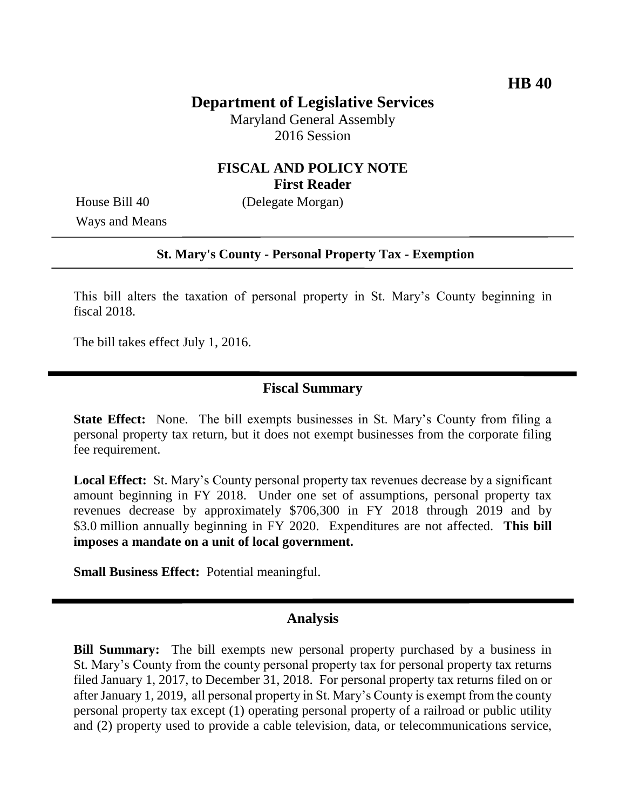## **Department of Legislative Services**

Maryland General Assembly 2016 Session

## **FISCAL AND POLICY NOTE First Reader**

Ways and Means

House Bill 40 (Delegate Morgan)

### **St. Mary's County - Personal Property Tax - Exemption**

This bill alters the taxation of personal property in St. Mary's County beginning in fiscal 2018.

The bill takes effect July 1, 2016.

### **Fiscal Summary**

**State Effect:** None. The bill exempts businesses in St. Mary's County from filing a personal property tax return, but it does not exempt businesses from the corporate filing fee requirement.

**Local Effect:** St. Mary's County personal property tax revenues decrease by a significant amount beginning in FY 2018. Under one set of assumptions, personal property tax revenues decrease by approximately \$706,300 in FY 2018 through 2019 and by \$3.0 million annually beginning in FY 2020. Expenditures are not affected. **This bill imposes a mandate on a unit of local government.**

**Small Business Effect:** Potential meaningful.

### **Analysis**

**Bill Summary:** The bill exempts new personal property purchased by a business in St. Mary's County from the county personal property tax for personal property tax returns filed January 1, 2017, to December 31, 2018. For personal property tax returns filed on or after January 1, 2019, all personal property in St. Mary's County is exempt from the county personal property tax except (1) operating personal property of a railroad or public utility and (2) property used to provide a cable television, data, or telecommunications service,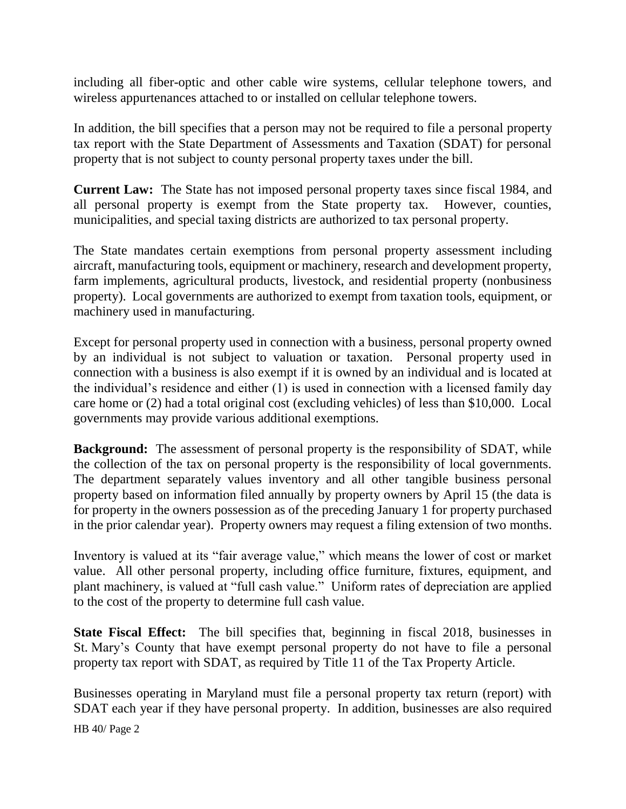including all fiber-optic and other cable wire systems, cellular telephone towers, and wireless appurtenances attached to or installed on cellular telephone towers.

In addition, the bill specifies that a person may not be required to file a personal property tax report with the State Department of Assessments and Taxation (SDAT) for personal property that is not subject to county personal property taxes under the bill.

**Current Law:** The State has not imposed personal property taxes since fiscal 1984, and all personal property is exempt from the State property tax. However, counties, municipalities, and special taxing districts are authorized to tax personal property.

The State mandates certain exemptions from personal property assessment including aircraft, manufacturing tools, equipment or machinery, research and development property, farm implements, agricultural products, livestock, and residential property (nonbusiness property). Local governments are authorized to exempt from taxation tools, equipment, or machinery used in manufacturing.

Except for personal property used in connection with a business, personal property owned by an individual is not subject to valuation or taxation. Personal property used in connection with a business is also exempt if it is owned by an individual and is located at the individual's residence and either (1) is used in connection with a licensed family day care home or (2) had a total original cost (excluding vehicles) of less than \$10,000. Local governments may provide various additional exemptions.

**Background:** The assessment of personal property is the responsibility of SDAT, while the collection of the tax on personal property is the responsibility of local governments. The department separately values inventory and all other tangible business personal property based on information filed annually by property owners by April 15 (the data is for property in the owners possession as of the preceding January 1 for property purchased in the prior calendar year). Property owners may request a filing extension of two months.

Inventory is valued at its "fair average value," which means the lower of cost or market value. All other personal property, including office furniture, fixtures, equipment, and plant machinery, is valued at "full cash value." Uniform rates of depreciation are applied to the cost of the property to determine full cash value.

**State Fiscal Effect:** The bill specifies that, beginning in fiscal 2018, businesses in St. Mary's County that have exempt personal property do not have to file a personal property tax report with SDAT, as required by Title 11 of the Tax Property Article.

Businesses operating in Maryland must file a personal property tax return (report) with SDAT each year if they have personal property. In addition, businesses are also required

HB 40/ Page 2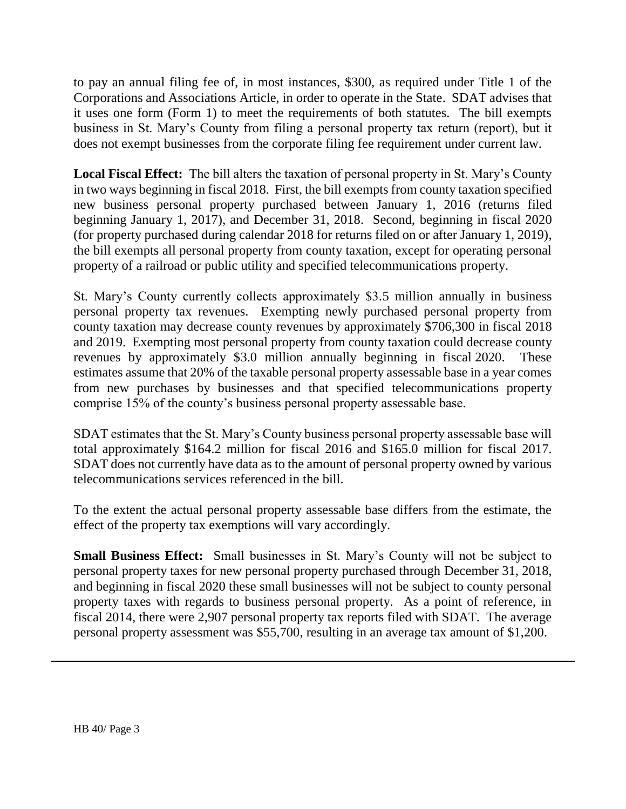to pay an annual filing fee of, in most instances, \$300, as required under Title 1 of the Corporations and Associations Article, in order to operate in the State. SDAT advises that it uses one form (Form 1) to meet the requirements of both statutes. The bill exempts business in St. Mary's County from filing a personal property tax return (report), but it does not exempt businesses from the corporate filing fee requirement under current law.

**Local Fiscal Effect:** The bill alters the taxation of personal property in St. Mary's County in two ways beginning in fiscal 2018. First, the bill exempts from county taxation specified new business personal property purchased between January 1, 2016 (returns filed beginning January 1, 2017), and December 31, 2018. Second, beginning in fiscal 2020 (for property purchased during calendar 2018 for returns filed on or after January 1, 2019), the bill exempts all personal property from county taxation, except for operating personal property of a railroad or public utility and specified telecommunications property.

St. Mary's County currently collects approximately \$3.5 million annually in business personal property tax revenues. Exempting newly purchased personal property from county taxation may decrease county revenues by approximately \$706,300 in fiscal 2018 and 2019. Exempting most personal property from county taxation could decrease county revenues by approximately \$3.0 million annually beginning in fiscal 2020. These estimates assume that 20% of the taxable personal property assessable base in a year comes from new purchases by businesses and that specified telecommunications property comprise 15% of the county's business personal property assessable base.

SDAT estimates that the St. Mary's County business personal property assessable base will total approximately \$164.2 million for fiscal 2016 and \$165.0 million for fiscal 2017. SDAT does not currently have data as to the amount of personal property owned by various telecommunications services referenced in the bill.

To the extent the actual personal property assessable base differs from the estimate, the effect of the property tax exemptions will vary accordingly.

**Small Business Effect:** Small businesses in St. Mary's County will not be subject to personal property taxes for new personal property purchased through December 31, 2018, and beginning in fiscal 2020 these small businesses will not be subject to county personal property taxes with regards to business personal property. As a point of reference, in fiscal 2014, there were 2,907 personal property tax reports filed with SDAT. The average personal property assessment was \$55,700, resulting in an average tax amount of \$1,200.